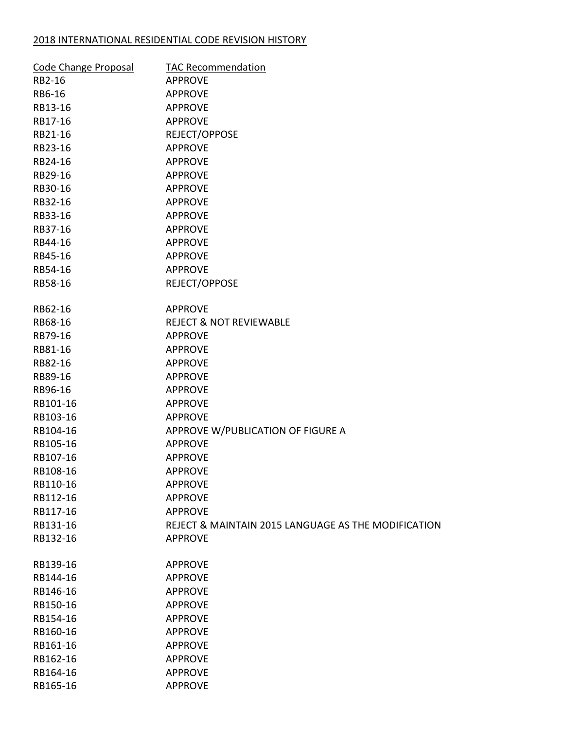## 2018 INTERNATIONAL RESIDENTIAL CODE REVISION HISTORY

| Code Change Proposal | <b>TAC Recommendation</b>                           |
|----------------------|-----------------------------------------------------|
| RB2-16               | <b>APPROVE</b>                                      |
| RB6-16               | <b>APPROVE</b>                                      |
| RB13-16              | <b>APPROVE</b>                                      |
| RB17-16              | <b>APPROVE</b>                                      |
| RB21-16              | REJECT/OPPOSE                                       |
| RB23-16              | <b>APPROVE</b>                                      |
| RB24-16              | <b>APPROVE</b>                                      |
| RB29-16              | <b>APPROVE</b>                                      |
| RB30-16              | <b>APPROVE</b>                                      |
| RB32-16              | <b>APPROVE</b>                                      |
| RB33-16              | <b>APPROVE</b>                                      |
| RB37-16              | <b>APPROVE</b>                                      |
| RB44-16              | <b>APPROVE</b>                                      |
| RB45-16              | <b>APPROVE</b>                                      |
| RB54-16              | <b>APPROVE</b>                                      |
| RB58-16              | REJECT/OPPOSE                                       |
|                      |                                                     |
| RB62-16              | <b>APPROVE</b>                                      |
| RB68-16              | <b>REJECT &amp; NOT REVIEWABLE</b>                  |
| RB79-16              | <b>APPROVE</b>                                      |
| RB81-16              | <b>APPROVE</b>                                      |
| RB82-16              | <b>APPROVE</b>                                      |
| RB89-16              | <b>APPROVE</b>                                      |
| RB96-16              | <b>APPROVE</b>                                      |
| RB101-16             | <b>APPROVE</b>                                      |
| RB103-16             | <b>APPROVE</b>                                      |
| RB104-16             | APPROVE W/PUBLICATION OF FIGURE A                   |
| RB105-16             | <b>APPROVE</b>                                      |
| RB107-16             | <b>APPROVE</b>                                      |
| RB108-16             | <b>APPROVE</b>                                      |
| RB110-16             | <b>APPROVE</b>                                      |
| RB112-16             | <b>APPROVE</b>                                      |
| RB117-16             | <b>APPROVE</b>                                      |
| RB131-16             | REJECT & MAINTAIN 2015 LANGUAGE AS THE MODIFICATION |
| RB132-16             | <b>APPROVE</b>                                      |
|                      |                                                     |
| RB139-16             | <b>APPROVE</b>                                      |
| RB144-16             | <b>APPROVE</b>                                      |
| RB146-16             | <b>APPROVE</b>                                      |
| RB150-16             | <b>APPROVE</b>                                      |
| RB154-16             | <b>APPROVE</b>                                      |
| RB160-16             | <b>APPROVE</b>                                      |
| RB161-16             | <b>APPROVE</b>                                      |
| RB162-16             | <b>APPROVE</b>                                      |
| RB164-16             | <b>APPROVE</b>                                      |
| RB165-16             | <b>APPROVE</b>                                      |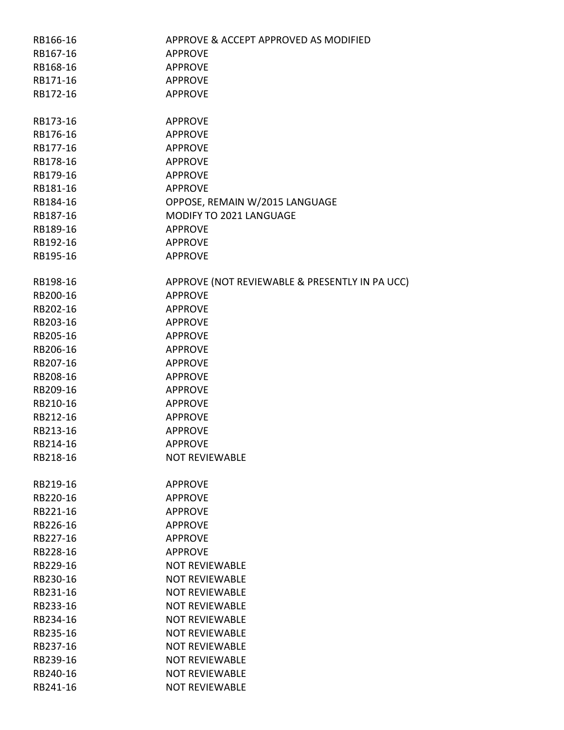| RB166-16 | APPROVE & ACCEPT APPROVED AS MODIFIED          |
|----------|------------------------------------------------|
| RB167-16 | <b>APPROVE</b>                                 |
| RB168-16 | <b>APPROVE</b>                                 |
| RB171-16 | <b>APPROVE</b>                                 |
| RB172-16 | <b>APPROVE</b>                                 |
|          |                                                |
| RB173-16 | <b>APPROVE</b>                                 |
| RB176-16 | <b>APPROVE</b>                                 |
| RB177-16 | <b>APPROVE</b>                                 |
| RB178-16 | <b>APPROVE</b>                                 |
| RB179-16 | <b>APPROVE</b>                                 |
| RB181-16 | <b>APPROVE</b>                                 |
| RB184-16 | OPPOSE, REMAIN W/2015 LANGUAGE                 |
| RB187-16 | MODIFY TO 2021 LANGUAGE                        |
| RB189-16 | <b>APPROVE</b>                                 |
| RB192-16 | <b>APPROVE</b>                                 |
| RB195-16 | <b>APPROVE</b>                                 |
|          |                                                |
| RB198-16 | APPROVE (NOT REVIEWABLE & PRESENTLY IN PA UCC) |
| RB200-16 | <b>APPROVE</b>                                 |
| RB202-16 | <b>APPROVE</b>                                 |
| RB203-16 | <b>APPROVE</b>                                 |
| RB205-16 | <b>APPROVE</b>                                 |
| RB206-16 | <b>APPROVE</b>                                 |
| RB207-16 | <b>APPROVE</b>                                 |
| RB208-16 | <b>APPROVE</b>                                 |
| RB209-16 | <b>APPROVE</b>                                 |
| RB210-16 | <b>APPROVE</b>                                 |
| RB212-16 | <b>APPROVE</b>                                 |
| RB213-16 | <b>APPROVE</b>                                 |
| RB214-16 | <b>APPROVE</b>                                 |
| RB218-16 | <b>NOT REVIEWABLE</b>                          |
|          |                                                |
| RB219-16 | <b>APPROVE</b>                                 |
| RB220-16 | <b>APPROVE</b>                                 |
| RB221-16 | <b>APPROVE</b>                                 |
| RB226-16 | <b>APPROVE</b>                                 |
| RB227-16 | <b>APPROVE</b>                                 |
| RB228-16 | <b>APPROVE</b>                                 |
| RB229-16 | <b>NOT REVIEWABLE</b>                          |
| RB230-16 | <b>NOT REVIEWABLE</b>                          |
| RB231-16 | <b>NOT REVIEWABLE</b>                          |
| RB233-16 | <b>NOT REVIEWABLE</b>                          |
| RB234-16 | <b>NOT REVIEWABLE</b>                          |
| RB235-16 | <b>NOT REVIEWABLE</b>                          |
| RB237-16 | <b>NOT REVIEWABLE</b>                          |
| RB239-16 | <b>NOT REVIEWABLE</b>                          |
| RB240-16 | <b>NOT REVIEWABLE</b>                          |
| RB241-16 | <b>NOT REVIEWABLE</b>                          |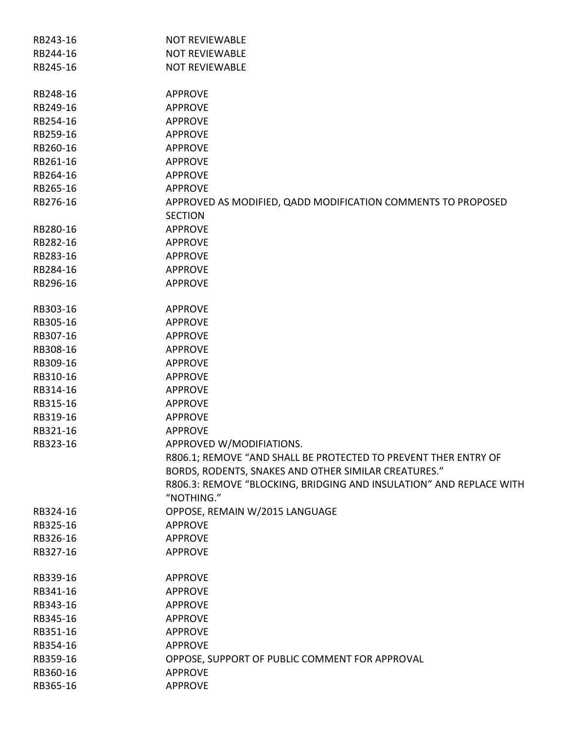| RB243-16 | <b>NOT REVIEWABLE</b>                                               |
|----------|---------------------------------------------------------------------|
| RB244-16 | <b>NOT REVIEWABLE</b>                                               |
| RB245-16 | <b>NOT REVIEWABLE</b>                                               |
|          |                                                                     |
| RB248-16 | <b>APPROVE</b>                                                      |
| RB249-16 | <b>APPROVE</b>                                                      |
| RB254-16 | <b>APPROVE</b>                                                      |
| RB259-16 | <b>APPROVE</b>                                                      |
| RB260-16 | <b>APPROVE</b>                                                      |
| RB261-16 | <b>APPROVE</b>                                                      |
| RB264-16 | <b>APPROVE</b>                                                      |
| RB265-16 | <b>APPROVE</b>                                                      |
| RB276-16 | APPROVED AS MODIFIED, QADD MODIFICATION COMMENTS TO PROPOSED        |
|          | <b>SECTION</b>                                                      |
| RB280-16 | <b>APPROVE</b>                                                      |
| RB282-16 | <b>APPROVE</b>                                                      |
| RB283-16 | <b>APPROVE</b>                                                      |
| RB284-16 | <b>APPROVE</b>                                                      |
| RB296-16 | <b>APPROVE</b>                                                      |
|          |                                                                     |
| RB303-16 | <b>APPROVE</b>                                                      |
| RB305-16 | <b>APPROVE</b>                                                      |
| RB307-16 | <b>APPROVE</b>                                                      |
| RB308-16 | <b>APPROVE</b>                                                      |
| RB309-16 | <b>APPROVE</b>                                                      |
| RB310-16 | <b>APPROVE</b>                                                      |
| RB314-16 | <b>APPROVE</b>                                                      |
| RB315-16 | <b>APPROVE</b>                                                      |
| RB319-16 | <b>APPROVE</b>                                                      |
| RB321-16 | <b>APPROVE</b>                                                      |
| RB323-16 | <b>APPROVED W/MODIFIATIONS</b>                                      |
|          | R806.1; REMOVE "AND SHALL BE PROTECTED TO PREVENT THER ENTRY OF     |
|          | BORDS, RODENTS, SNAKES AND OTHER SIMILAR CREATURES."                |
|          | R806.3: REMOVE "BLOCKING, BRIDGING AND INSULATION" AND REPLACE WITH |
|          | "NOTHING."                                                          |
| RB324-16 | OPPOSE, REMAIN W/2015 LANGUAGE                                      |
| RB325-16 | <b>APPROVE</b>                                                      |
| RB326-16 | <b>APPROVE</b>                                                      |
| RB327-16 | <b>APPROVE</b>                                                      |
| RB339-16 | <b>APPROVE</b>                                                      |
| RB341-16 | <b>APPROVE</b>                                                      |
| RB343-16 | <b>APPROVE</b>                                                      |
| RB345-16 | <b>APPROVE</b>                                                      |
| RB351-16 | <b>APPROVE</b>                                                      |
| RB354-16 | <b>APPROVE</b>                                                      |
| RB359-16 | OPPOSE, SUPPORT OF PUBLIC COMMENT FOR APPROVAL                      |
| RB360-16 | <b>APPROVE</b>                                                      |
|          |                                                                     |
| RB365-16 | <b>APPROVE</b>                                                      |